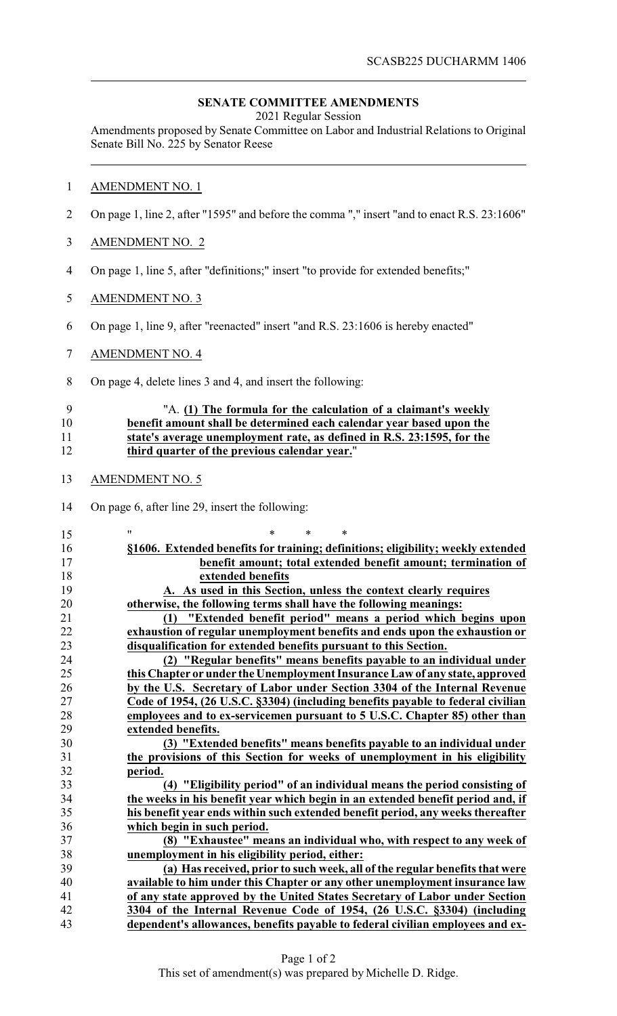## **SENATE COMMITTEE AMENDMENTS**

2021 Regular Session

Amendments proposed by Senate Committee on Labor and Industrial Relations to Original Senate Bill No. 225 by Senator Reese

## AMENDMENT NO. 1

- On page 1, line 2, after "1595" and before the comma "," insert "and to enact R.S. 23:1606"
- AMENDMENT NO. 2
- On page 1, line 5, after "definitions;" insert "to provide for extended benefits;"
- AMENDMENT NO. 3
- On page 1, line 9, after "reenacted" insert "and R.S. 23:1606 is hereby enacted"
- AMENDMENT NO. 4
- On page 4, delete lines 3 and 4, and insert the following:

## "A. **(1) The formula for the calculation of a claimant's weekly benefit amount shall be determined each calendar year based upon the state's average unemployment rate, as defined in R.S. 23:1595, for the third quarter of the previous calendar year.**"

- AMENDMENT NO. 5
- On page 6, after line 29, insert the following:

| 15     | 11<br>$\ast$<br>*<br>*                                                           |
|--------|----------------------------------------------------------------------------------|
| 16     | §1606. Extended benefits for training; definitions; eligibility; weekly extended |
| 17     | benefit amount; total extended benefit amount; termination of                    |
| 18     | extended benefits                                                                |
| 19     | A. As used in this Section, unless the context clearly requires                  |
| 20     | otherwise, the following terms shall have the following meanings:                |
| 21     | "Extended benefit period" means a period which begins upon<br>(1)                |
| 22     | exhaustion of regular unemployment benefits and ends upon the exhaustion or      |
| 23     | disqualification for extended benefits pursuant to this Section.                 |
| 24     | (2) "Regular benefits" means benefits payable to an individual under             |
| 25     | this Chapter or under the Unemployment Insurance Law of any state, approved      |
| 26     | by the U.S. Secretary of Labor under Section 3304 of the Internal Revenue        |
| $27\,$ | Code of 1954, (26 U.S.C. §3304) (including benefits payable to federal civilian  |
| 28     | employees and to ex-servicemen pursuant to 5 U.S.C. Chapter 85) other than       |
| 29     | extended benefits.                                                               |
| 30     | (3) "Extended benefits" means benefits payable to an individual under            |
| 31     | the provisions of this Section for weeks of unemployment in his eligibility      |
| 32     | period.                                                                          |
| 33     | (4) "Eligibility period" of an individual means the period consisting of         |
| 34     | the weeks in his benefit year which begin in an extended benefit period and, if  |
| 35     | his benefit year ends within such extended benefit period, any weeks thereafter  |
| 36     | which begin in such period.                                                      |
| 37     | (8) "Exhaustee" means an individual who, with respect to any week of             |
| 38     | unemployment in his eligibility period, either:                                  |
| 39     | (a) Has received, prior to such week, all of the regular benefits that were      |
| 40     | available to him under this Chapter or any other unemployment insurance law      |
| 41     | of any state approved by the United States Secretary of Labor under Section      |
| 42     | 3304 of the Internal Revenue Code of 1954, (26 U.S.C. §3304) (including          |
| 43     | dependent's allowances, benefits payable to federal civilian employees and ex-   |
|        |                                                                                  |